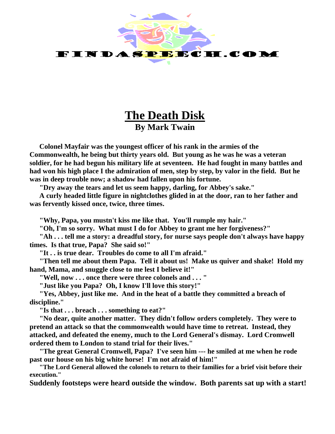

## **The Death Disk By Mark Twain**

**Colonel Mayfair was the youngest officer of his rank in the armies of the Commonwealth, he being but thirty years old. But young as he was he was a veteran soldier, for he had begun his military life at seventeen. He had fought in many battles and had won his high place I the admiration of men, step by step, by valor in the field. But he was in deep trouble now; a shadow had fallen upon his fortune.**

**"Dry away the tears and let us seem happy, darling, for Abbey's sake."**

**A curly headed little figure in nightclothes glided in at the door, ran to her father and was fervently kissed once, twice, three times.**

**"Why, Papa, you mustn't kiss me like that. You'll rumple my hair."**

**"Oh, I'm so sorry. What must I do for Abbey to grant me her forgiveness?"**

**"Ah . . . tell me a story: a dreadful story, for nurse says people don't always have happy times. Is that true, Papa? She said so!"**

**"It . . is true dear. Troubles do come to all I'm afraid."**

**"Then tell me about them Papa. Tell it about us! Make us quiver and shake! Hold my hand, Mama, and snuggle close to me lest I believe it!"**

**"Well, now . . . once there were three colonels and . . . "**

**"Just like you Papa? Oh, I know I'll love this story!"**

**"Yes, Abbey, just like me. And in the heat of a battle they committed a breach of discipline."**

**"Is that . . . breach . . . something to eat?"**

**"No dear, quite another matter. They didn't follow orders completely. They were to pretend an attack so that the commonwealth would have time to retreat. Instead, they attacked, and defeated the enemy, much to the Lord General's dismay. Lord Cromwell ordered them to London to stand trial for their lives."**

**"The great General Cromwell, Papa? I've seen him --- he smiled at me when he rode past our house on his big white horse! I'm not afraid of him!"**

**"The Lord General allowed the colonels to return to their families for a brief visit before their execution."**

**Suddenly footsteps were heard outside the window. Both parents sat up with a start!**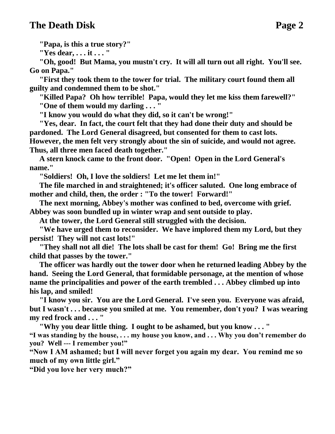## **The Death Disk Page 2**

**"Papa, is this a true story?"**

**"Yes dear, . . . it . . . "**

**"Oh, good! But Mama, you mustn't cry. It will all turn out all right. You'll see. Go on Papa."**

**"First they took them to the tower for trial. The military court found them all guilty and condemned them to be shot."**

**"Killed Papa? Oh how terrible! Papa, would they let me kiss them farewell?" "One of them would my darling . . . "**

**"I know you would do what they did, so it can't be wrong!"**

**"Yes, dear. In fact, the court felt that they had done their duty and should be pardoned. The Lord General disagreed, but consented for them to cast lots. However, the men felt very strongly about the sin of suicide, and would not agree.** 

**Thus, all three men faced death together."**

**A stern knock came to the front door. "Open! Open in the Lord General's name."**

**"Soldiers! Oh, I love the soldiers! Let me let them in!"**

**The file marched in and straightened; it's officer saluted. One long embrace of mother and child, then, the order : "To the tower! Forward!"**

**The next morning, Abbey's mother was confined to bed, overcome with grief. Abbey was soon bundled up in winter wrap and sent outside to play.** 

**At the tower, the Lord General still struggled with the decision.**

**"We have urged them to reconsider. We have implored them my Lord, but they persist! They will not cast lots!"**

**"They shall not all die! The lots shall be cast for them! Go! Bring me the first child that passes by the tower."**

**The officer was hardly out the tower door when he returned leading Abbey by the hand. Seeing the Lord General, that formidable personage, at the mention of whose name the principalities and power of the earth trembled . . . Abbey climbed up into his lap, and smiled!**

**"I know you sir. You are the Lord General. I've seen you. Everyone was afraid, but I wasn't . . . because you smiled at me. You remember, don't you? I was wearing my red frock and . . . "**

**"Why you dear little thing. I ought to be ashamed, but you know . . . "**

**"I was standing by the house, . . . my house you know, and . . . Why you don't remember do you? Well --- I remember you!"**

**"Now I AM ashamed; but I will never forget you again my dear. You remind me so much of my own little girl."**

**"Did you love her very much?"**